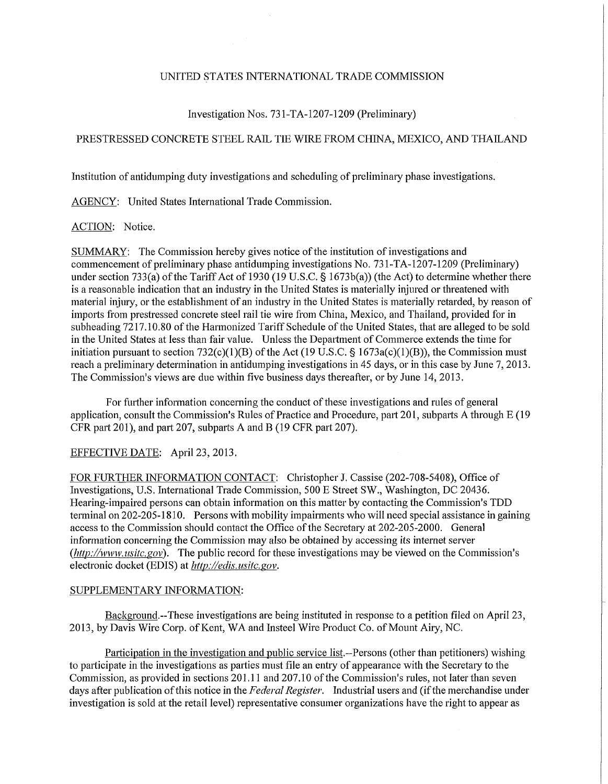#### UNITED STATES INTERNATIONAL TRADE COMMISSION

## Investigation Nos. 73 l-TA-1207-1209 (Preliminary)

# PRESTRESSED CONCRETE STEEL RAIL TIE WIRE FROM CHINA, MEXICO, AND THAILAND

Institution of antidumping duty investigations and scheduling of preliminary phase investigations.

AGENCY: United States International Trade Commission.

### ACTION: Notice.

SUMMARY: The Commission hereby gives notice of the institution of investigations and commencement of preliminary phase antidumping investigations No. 73 l-TA-1207-1209 (Preliminary) under section 733(a) of the Tariff Act of 1930 (19 U.S.C. § 1673b(a)) (the Act) to determine whether there is a reasonable indication that an industry in the United States is materially injured or threatened with material injury, or the establishment of an industry in the United States is materially retarded, by reason of imports from prestressed concrete steel rail tie wire from China, Mexico, and Thailand, provided for in subheading 7217.10.80 of the Harmonized Tariff Schedule of the United States, that are alleged to be sold in the United States at less than fair value. Unless the Department of Commerce extends the time for initiation pursuant to section  $732(c)(1)(B)$  of the Act (19 U.S.C. § 1673a(c)(1)(B)), the Commission must reach a preliminary determination in antidumping investigations in 45 days, or in this case by June 7,2013. The Commission's views are due within five business days thereafter, or by June 14, 2013.

For further information concerning the conduct of these investigations and rules of general application, consult the Commission's Rules of Practice and Procedure, part 201, subparts A through E (19 CFR part 201), and part 207, subparts A and B (19 CFR part 207).

#### EFFECTIVE DATE: April 23, 2013.

FOR FURTHER INFORMATION CONTACT: Christopher J. Cassise (202-708-5408), Office of Investigations, U.S. Intemational Trade Commission, 500 E Street SW., Washington, DC 20436. Hearing-impaired persons can obtain information on this matter by contacting the Commission's TDD terminal on 202-205-1810. Persons with mobility impairments who will need special assistance in gaining access to the Commission should contact the Office of the Secretary at 202-205-2000. General information concerning the Commission may also be obtained by accessing its internet server *(http://www, usitc.gov).* The public record for these investigations may be viewed on the Commission's electronic docket (EDIS) at *http://edis. usitc. gov.* 

### SUPPLEMENTARY INFORMATION:

Background.—These investigations are being instituted in response to a petition filed on April 23, 2013, by Davis Wire Corp. of Kent, WA and Insteel Wire Product Co. of Mount Airy, NC.

Participation in the investigation and public service list.—Persons (other than petitioners) wishing to participate in the investigations as parties must file an entry of appearance with the Secretary to the Commission, as provided in sections 201.11 and 207.10 of the Commission's rules, not later than seven days after publication of this notice in the *Federal Register.* Industrial users and (if the merchandise under investigation is sold at the retail level) representative consumer organizations have the right to appear as